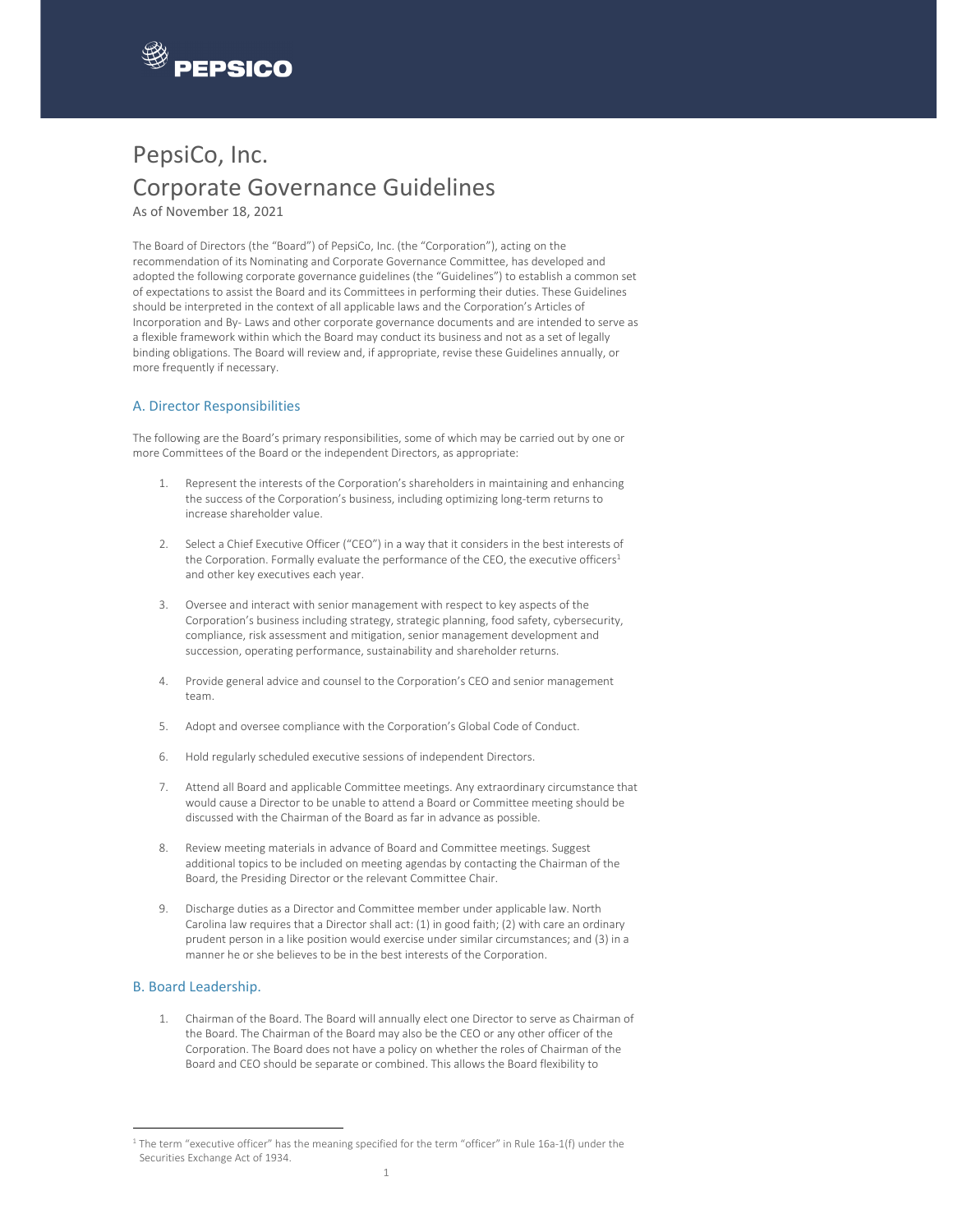

# PepsiCo, Inc. Corporate Governance Guidelines

As of November 18, 2021

The Board of Directors (the "Board") of PepsiCo, Inc. (the "Corporation"), acting on the recommendation of its Nominating and Corporate Governance Committee, has developed and adopted the following corporate governance guidelines (the "Guidelines") to establish a common set of expectations to assist the Board and its Committees in performing their duties. These Guidelines should be interpreted in the context of all applicable laws and the Corporation's Articles of Incorporation and By‐ Laws and other corporate governance documents and are intended to serve as a flexible framework within which the Board may conduct its business and not as a set of legally binding obligations. The Board will review and, if appropriate, revise these Guidelines annually, or more frequently if necessary.

## A. Director Responsibilities

The following are the Board's primary responsibilities, some of which may be carried out by one or more Committees of the Board or the independent Directors, as appropriate:

- 1. Represent the interests of the Corporation's shareholders in maintaining and enhancing the success of the Corporation's business, including optimizing long‐term returns to increase shareholder value.
- 2. Select a Chief Executive Officer ("CEO") in a way that it considers in the best interests of the Corporation. Formally evaluate the performance of the CEO, the executive officers<sup>1</sup> and other key executives each year.
- 3. Oversee and interact with senior management with respect to key aspects of the Corporation's business including strategy, strategic planning, food safety, cybersecurity, compliance, risk assessment and mitigation, senior management development and succession, operating performance, sustainability and shareholder returns.
- 4. Provide general advice and counsel to the Corporation's CEO and senior management team.
- 5. Adopt and oversee compliance with the Corporation's Global Code of Conduct.
- 6. Hold regularly scheduled executive sessions of independent Directors.
- 7. Attend all Board and applicable Committee meetings. Any extraordinary circumstance that would cause a Director to be unable to attend a Board or Committee meeting should be discussed with the Chairman of the Board as far in advance as possible.
- 8. Review meeting materials in advance of Board and Committee meetings. Suggest additional topics to be included on meeting agendas by contacting the Chairman of the Board, the Presiding Director or the relevant Committee Chair.
- 9. Discharge duties as a Director and Committee member under applicable law. North Carolina law requires that a Director shall act: (1) in good faith; (2) with care an ordinary prudent person in a like position would exercise under similar circumstances; and (3) in a manner he or she believes to be in the best interests of the Corporation.

## B. Board Leadership.

1. Chairman of the Board. The Board will annually elect one Director to serve as Chairman of the Board. The Chairman of the Board may also be the CEO or any other officer of the Corporation. The Board does not have a policy on whether the roles of Chairman of the Board and CEO should be separate or combined. This allows the Board flexibility to

 $1$  The term "executive officer" has the meaning specified for the term "officer" in Rule 16a-1(f) under the Securities Exchange Act of 1934.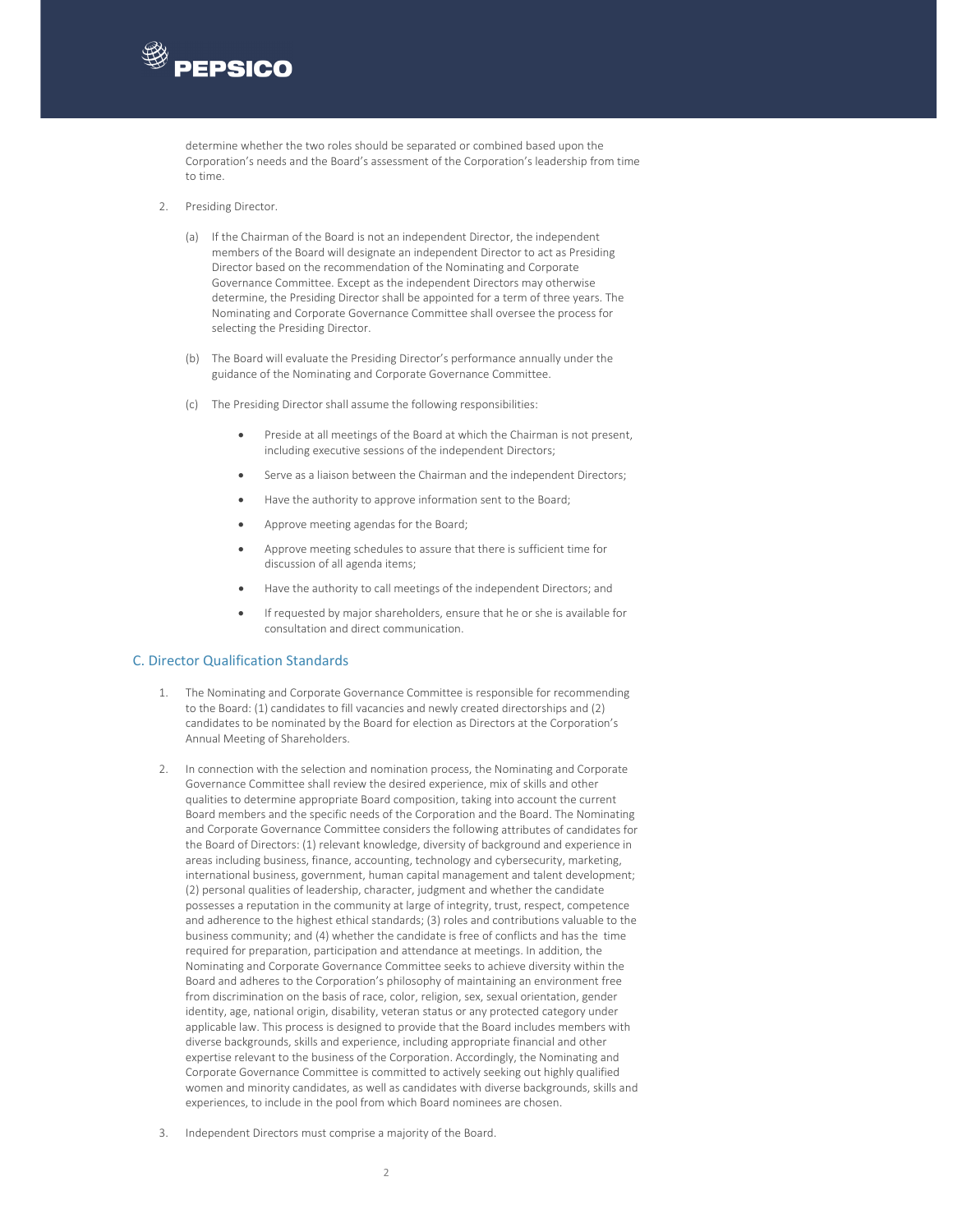

determine whether the two roles should be separated or combined based upon the Corporation's needs and the Board's assessment of the Corporation's leadership from time to time.

- 2. Presiding Director.
	- (a) If the Chairman of the Board is not an independent Director, the independent members of the Board will designate an independent Director to act as Presiding Director based on the recommendation of the Nominating and Corporate Governance Committee. Except as the independent Directors may otherwise determine, the Presiding Director shall be appointed for a term of three years. The Nominating and Corporate Governance Committee shall oversee the process for selecting the Presiding Director.
	- (b) The Board will evaluate the Presiding Director's performance annually under the guidance of the Nominating and Corporate Governance Committee.
	- (c) The Presiding Director shall assume the following responsibilities:
		- Preside at all meetings of the Board at which the Chairman is not present, including executive sessions of the independent Directors;
		- Serve as a liaison between the Chairman and the independent Directors;
		- Have the authority to approve information sent to the Board;
		- Approve meeting agendas for the Board;
		- Approve meeting schedules to assure that there is sufficient time for discussion of all agenda items;
		- Have the authority to call meetings of the independent Directors; and
		- If requested by major shareholders, ensure that he or she is available for consultation and direct communication.

## C. Director Qualification Standards

- 1. The Nominating and Corporate Governance Committee is responsible for recommending to the Board: (1) candidates to fill vacancies and newly created directorships and (2) candidates to be nominated by the Board for election as Directors at the Corporation's Annual Meeting of Shareholders.
- 2. In connection with the selection and nomination process, the Nominating and Corporate Governance Committee shall review the desired experience, mix of skills and other qualities to determine appropriate Board composition, taking into account the current Board members and the specific needs of the Corporation and the Board. The Nominating and Corporate Governance Committee considers the following attributes of candidates for the Board of Directors: (1) relevant knowledge, diversity of background and experience in areas including business, finance, accounting, technology and cybersecurity, marketing, international business, government, human capital management and talent development; (2) personal qualities of leadership, character, judgment and whether the candidate possesses a reputation in the community at large of integrity, trust, respect, competence and adherence to the highest ethical standards; (3) roles and contributions valuable to the business community; and (4) whether the candidate is free of conflicts and has the time required for preparation, participation and attendance at meetings. In addition, the Nominating and Corporate Governance Committee seeks to achieve diversity within the Board and adheres to the Corporation's philosophy of maintaining an environment free from discrimination on the basis of race, color, religion, sex, sexual orientation, gender identity, age, national origin, disability, veteran status or any protected category under applicable law. This process is designed to provide that the Board includes members with diverse backgrounds, skills and experience, including appropriate financial and other expertise relevant to the business of the Corporation. Accordingly, the Nominating and Corporate Governance Committee is committed to actively seeking out highly qualified women and minority candidates, as well as candidates with diverse backgrounds, skills and experiences, to include in the pool from which Board nominees are chosen.
- Independent Directors must comprise a majority of the Board.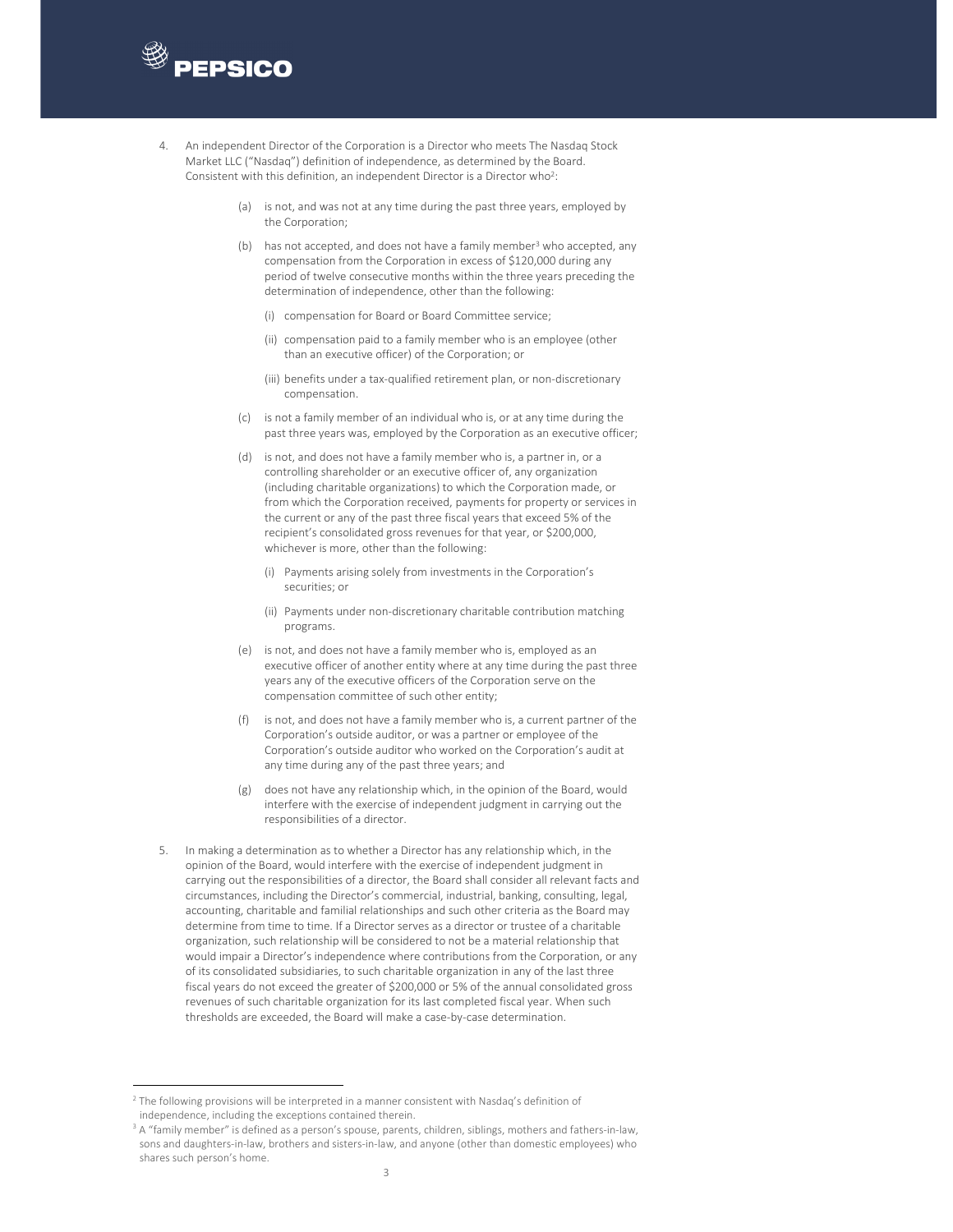

- 4. An independent Director of the Corporation is a Director who meets The Nasdaq Stock Market LLC ("Nasdaq") definition of independence, as determined by the Board. Consistent with this definition, an independent Director is a Director who<sup>2</sup>:
	- (a) is not, and was not at any time during the past three years, employed by the Corporation;
	- (b) has not accepted, and does not have a family member<sup>3</sup> who accepted, any compensation from the Corporation in excess of \$120,000 during any period of twelve consecutive months within the three years preceding the determination of independence, other than the following:
		- (i) compensation for Board or Board Committee service;
		- (ii) compensation paid to a family member who is an employee (other than an executive officer) of the Corporation; or
		- (iii) benefits under a tax-qualified retirement plan, or non-discretionary compensation.
	- (c) is not a family member of an individual who is, or at any time during the past three years was, employed by the Corporation as an executive officer;
	- (d) is not, and does not have a family member who is, a partner in, or a controlling shareholder or an executive officer of, any organization (including charitable organizations) to which the Corporation made, or from which the Corporation received, payments for property or services in the current or any of the past three fiscal years that exceed 5% of the recipient's consolidated gross revenues for that year, or \$200,000, whichever is more, other than the following:
		- (i) Payments arising solely from investments in the Corporation's securities; or
		- (ii) Payments under non‐discretionary charitable contribution matching programs.
	- (e) is not, and does not have a family member who is, employed as an executive officer of another entity where at any time during the past three years any of the executive officers of the Corporation serve on the compensation committee of such other entity;
	- (f) is not, and does not have a family member who is, a current partner of the Corporation's outside auditor, or was a partner or employee of the Corporation's outside auditor who worked on the Corporation's audit at any time during any of the past three years; and
	- (g) does not have any relationship which, in the opinion of the Board, would interfere with the exercise of independent judgment in carrying out the responsibilities of a director.
- In making a determination as to whether a Director has any relationship which, in the opinion of the Board, would interfere with the exercise of independent judgment in carrying out the responsibilities of a director, the Board shall consider all relevant facts and circumstances, including the Director's commercial, industrial, banking, consulting, legal, accounting, charitable and familial relationships and such other criteria as the Board may determine from time to time. If a Director serves as a director or trustee of a charitable organization, such relationship will be considered to not be a material relationship that would impair a Director's independence where contributions from the Corporation, or any of its consolidated subsidiaries, to such charitable organization in any of the last three fiscal years do not exceed the greater of \$200,000 or 5% of the annual consolidated gross revenues of such charitable organization for its last completed fiscal year. When such thresholds are exceeded, the Board will make a case‐by‐case determination.

<sup>&</sup>lt;sup>2</sup> The following provisions will be interpreted in a manner consistent with Nasdaq's definition of independence, including the exceptions contained therein.

<sup>&</sup>lt;sup>3</sup> A "family member" is defined as a person's spouse, parents, children, siblings, mothers and fathers-in-law, sons and daughters-in-law, brothers and sisters-in-law, and anyone (other than domestic employees) who shares such person's home.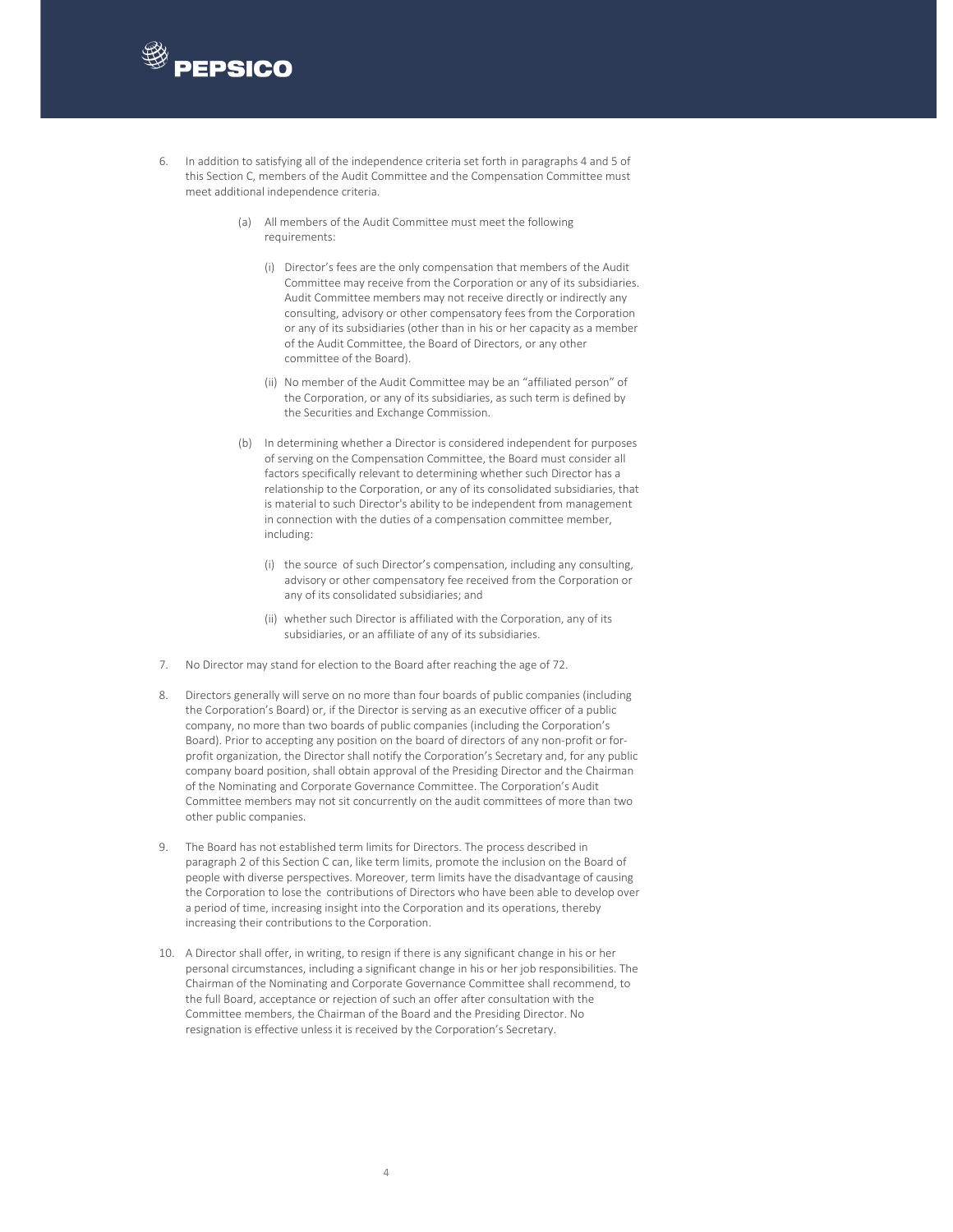

- 6. In addition to satisfying all of the independence criteria set forth in paragraphs 4 and 5 of this Section C, members of the Audit Committee and the Compensation Committee must meet additional independence criteria.
	- (a) All members of the Audit Committee must meet the following requirements:
		- (i) Director's fees are the only compensation that members of the Audit Committee may receive from the Corporation or any of its subsidiaries. Audit Committee members may not receive directly or indirectly any consulting, advisory or other compensatory fees from the Corporation or any of its subsidiaries (other than in his or her capacity as a member of the Audit Committee, the Board of Directors, or any other committee of the Board).
		- (ii) No member of the Audit Committee may be an "affiliated person" of the Corporation, or any of its subsidiaries, as such term is defined by the Securities and Exchange Commission.
	- (b) In determining whether a Director is considered independent for purposes of serving on the Compensation Committee, the Board must consider all factors specifically relevant to determining whether such Director has a relationship to the Corporation, or any of its consolidated subsidiaries, that is material to such Director's ability to be independent from management in connection with the duties of a compensation committee member, including:
		- (i) the source of such Director's compensation, including any consulting, advisory or other compensatory fee received from the Corporation or any of its consolidated subsidiaries; and
		- (ii) whether such Director is affiliated with the Corporation, any of its subsidiaries, or an affiliate of any of its subsidiaries.
- 7. No Director may stand for election to the Board after reaching the age of 72.
- 8. Directors generally will serve on no more than four boards of public companies (including the Corporation's Board) or, if the Director is serving as an executive officer of a public company, no more than two boards of public companies (including the Corporation's Board). Prior to accepting any position on the board of directors of any non-profit or forprofit organization, the Director shall notify the Corporation's Secretary and, for any public company board position, shall obtain approval of the Presiding Director and the Chairman of the Nominating and Corporate Governance Committee. The Corporation's Audit Committee members may not sit concurrently on the audit committees of more than two other public companies.
- 9. The Board has not established term limits for Directors. The process described in paragraph 2 of this Section C can, like term limits, promote the inclusion on the Board of people with diverse perspectives. Moreover, term limits have the disadvantage of causing the Corporation to lose the contributions of Directors who have been able to develop over a period of time, increasing insight into the Corporation and its operations, thereby increasing their contributions to the Corporation.
- 10. A Director shall offer, in writing, to resign if there is any significant change in his or her personal circumstances, including a significant change in his or her job responsibilities. The Chairman of the Nominating and Corporate Governance Committee shall recommend, to the full Board, acceptance or rejection of such an offer after consultation with the Committee members, the Chairman of the Board and the Presiding Director. No resignation is effective unless it is received by the Corporation's Secretary.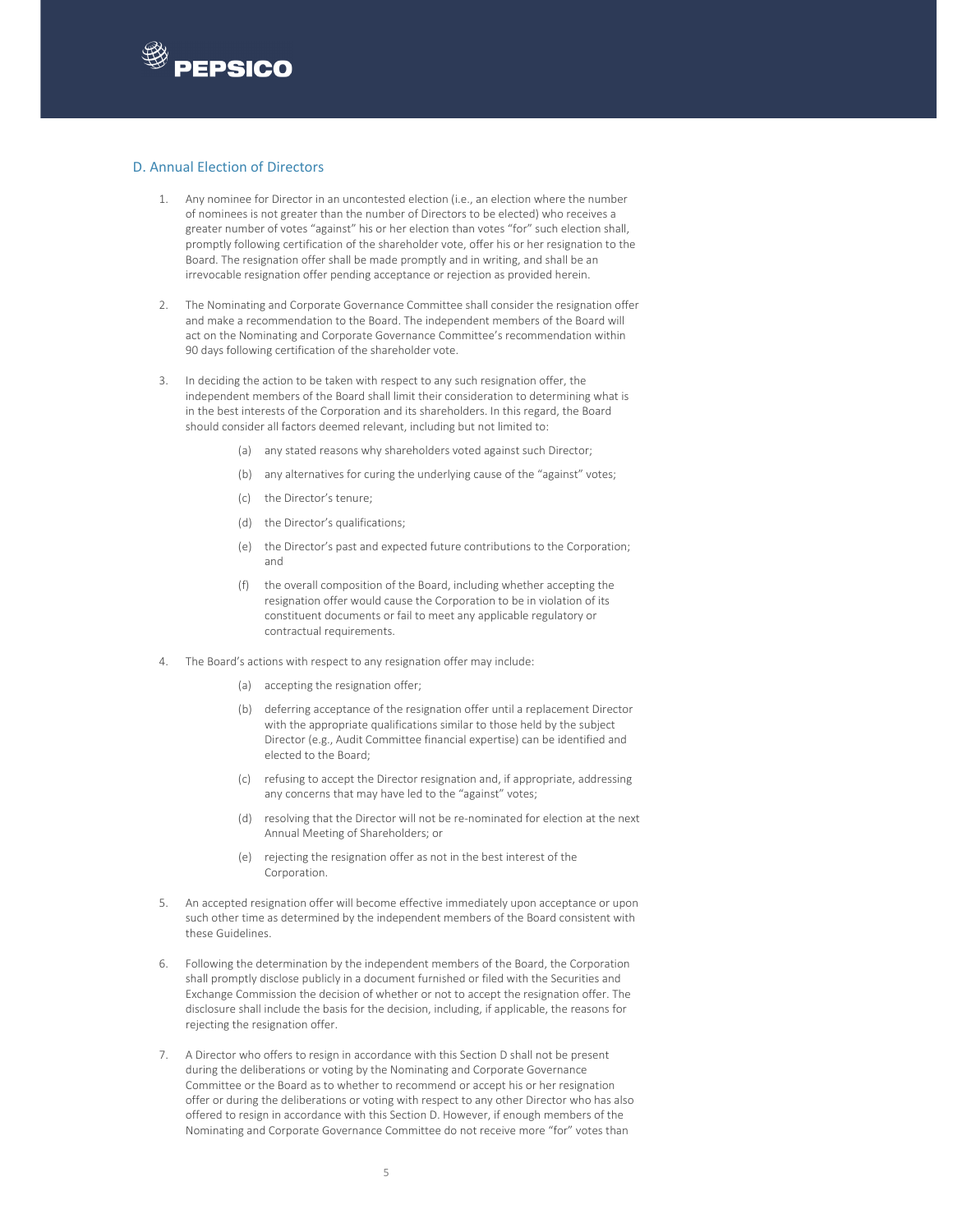

## D. Annual Election of Directors

- 1. Any nominee for Director in an uncontested election (i.e., an election where the number of nominees is not greater than the number of Directors to be elected) who receives a greater number of votes "against" his or her election than votes "for" such election shall, promptly following certification of the shareholder vote, offer his or her resignation to the Board. The resignation offer shall be made promptly and in writing, and shall be an irrevocable resignation offer pending acceptance or rejection as provided herein.
- 2. The Nominating and Corporate Governance Committee shall consider the resignation offer and make a recommendation to the Board. The independent members of the Board will act on the Nominating and Corporate Governance Committee's recommendation within 90 days following certification of the shareholder vote.
- 3. In deciding the action to be taken with respect to any such resignation offer, the independent members of the Board shall limit their consideration to determining what is in the best interests of the Corporation and its shareholders. In this regard, the Board should consider all factors deemed relevant, including but not limited to:
	- (a) any stated reasons why shareholders voted against such Director;
	- (b) any alternatives for curing the underlying cause of the "against" votes;
	- (c) the Director's tenure;
	- (d) the Director's qualifications;
	- (e) the Director's past and expected future contributions to the Corporation; and
	- (f) the overall composition of the Board, including whether accepting the resignation offer would cause the Corporation to be in violation of its constituent documents or fail to meet any applicable regulatory or contractual requirements.
- The Board's actions with respect to any resignation offer may include:
	- (a) accepting the resignation offer;
	- (b) deferring acceptance of the resignation offer until a replacement Director with the appropriate qualifications similar to those held by the subject Director (e.g., Audit Committee financial expertise) can be identified and elected to the Board;
	- (c) refusing to accept the Director resignation and, if appropriate, addressing any concerns that may have led to the "against" votes;
	- (d) resolving that the Director will not be re‐nominated for election at the next Annual Meeting of Shareholders; or
	- (e) rejecting the resignation offer as not in the best interest of the Corporation.
- 5. An accepted resignation offer will become effective immediately upon acceptance or upon such other time as determined by the independent members of the Board consistent with these Guidelines.
- 6. Following the determination by the independent members of the Board, the Corporation shall promptly disclose publicly in a document furnished or filed with the Securities and Exchange Commission the decision of whether or not to accept the resignation offer. The disclosure shall include the basis for the decision, including, if applicable, the reasons for rejecting the resignation offer.
- 7. A Director who offers to resign in accordance with this Section D shall not be present during the deliberations or voting by the Nominating and Corporate Governance Committee or the Board as to whether to recommend or accept his or her resignation offer or during the deliberations or voting with respect to any other Director who has also offered to resign in accordance with this Section D. However, if enough members of the Nominating and Corporate Governance Committee do not receive more "for" votes than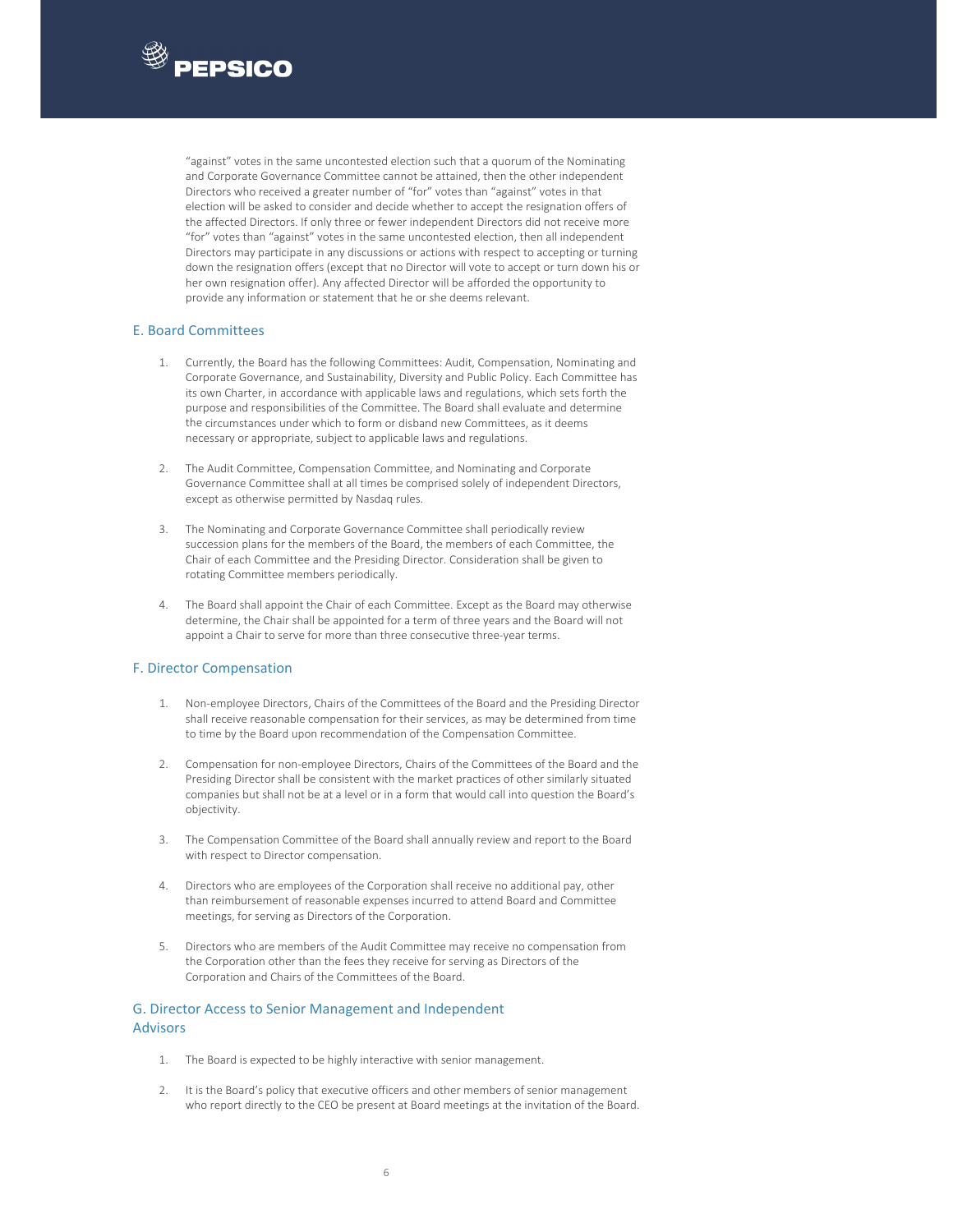

"against" votes in the same uncontested election such that a quorum of the Nominating and Corporate Governance Committee cannot be attained, then the other independent Directors who received a greater number of "for" votes than "against" votes in that election will be asked to consider and decide whether to accept the resignation offers of the affected Directors. If only three or fewer independent Directors did not receive more "for" votes than "against" votes in the same uncontested election, then all independent Directors may participate in any discussions or actions with respect to accepting or turning down the resignation offers (except that no Director will vote to accept or turn down his or her own resignation offer). Any affected Director will be afforded the opportunity to provide any information or statement that he or she deems relevant.

## E. Board Committees

- 1. Currently, the Board has the following Committees: Audit, Compensation, Nominating and Corporate Governance, and Sustainability, Diversity and Public Policy. Each Committee has its own Charter, in accordance with applicable laws and regulations, which sets forth the purpose and responsibilities of the Committee. The Board shall evaluate and determine the circumstances under which to form or disband new Committees, as it deems necessary or appropriate, subject to applicable laws and regulations.
- 2. The Audit Committee, Compensation Committee, and Nominating and Corporate Governance Committee shall at all times be comprised solely of independent Directors, except as otherwise permitted by Nasdaq rules.
- 3. The Nominating and Corporate Governance Committee shall periodically review succession plans for the members of the Board, the members of each Committee, the Chair of each Committee and the Presiding Director. Consideration shall be given to rotating Committee members periodically.
- 4. The Board shall appoint the Chair of each Committee. Except as the Board may otherwise determine, the Chair shall be appointed for a term of three years and the Board will not appoint a Chair to serve for more than three consecutive three‐year terms.

## F. Director Compensation

- 1. Non‐employee Directors, Chairs of the Committees of the Board and the Presiding Director shall receive reasonable compensation for their services, as may be determined from time to time by the Board upon recommendation of the Compensation Committee.
- 2. Compensation for non-employee Directors, Chairs of the Committees of the Board and the Presiding Director shall be consistent with the market practices of other similarly situated companies but shall not be at a level or in a form that would call into question the Board's objectivity.
- 3. The Compensation Committee of the Board shall annually review and report to the Board with respect to Director compensation.
- 4. Directors who are employees of the Corporation shall receive no additional pay, other than reimbursement of reasonable expenses incurred to attend Board and Committee meetings, for serving as Directors of the Corporation.
- 5. Directors who are members of the Audit Committee may receive no compensation from the Corporation other than the fees they receive for serving as Directors of the Corporation and Chairs of the Committees of the Board.

# G. Director Access to Senior Management and Independent Advisors

- 1. The Board is expected to be highly interactive with senior management.
- 2. It is the Board's policy that executive officers and other members of senior management who report directly to the CEO be present at Board meetings at the invitation of the Board.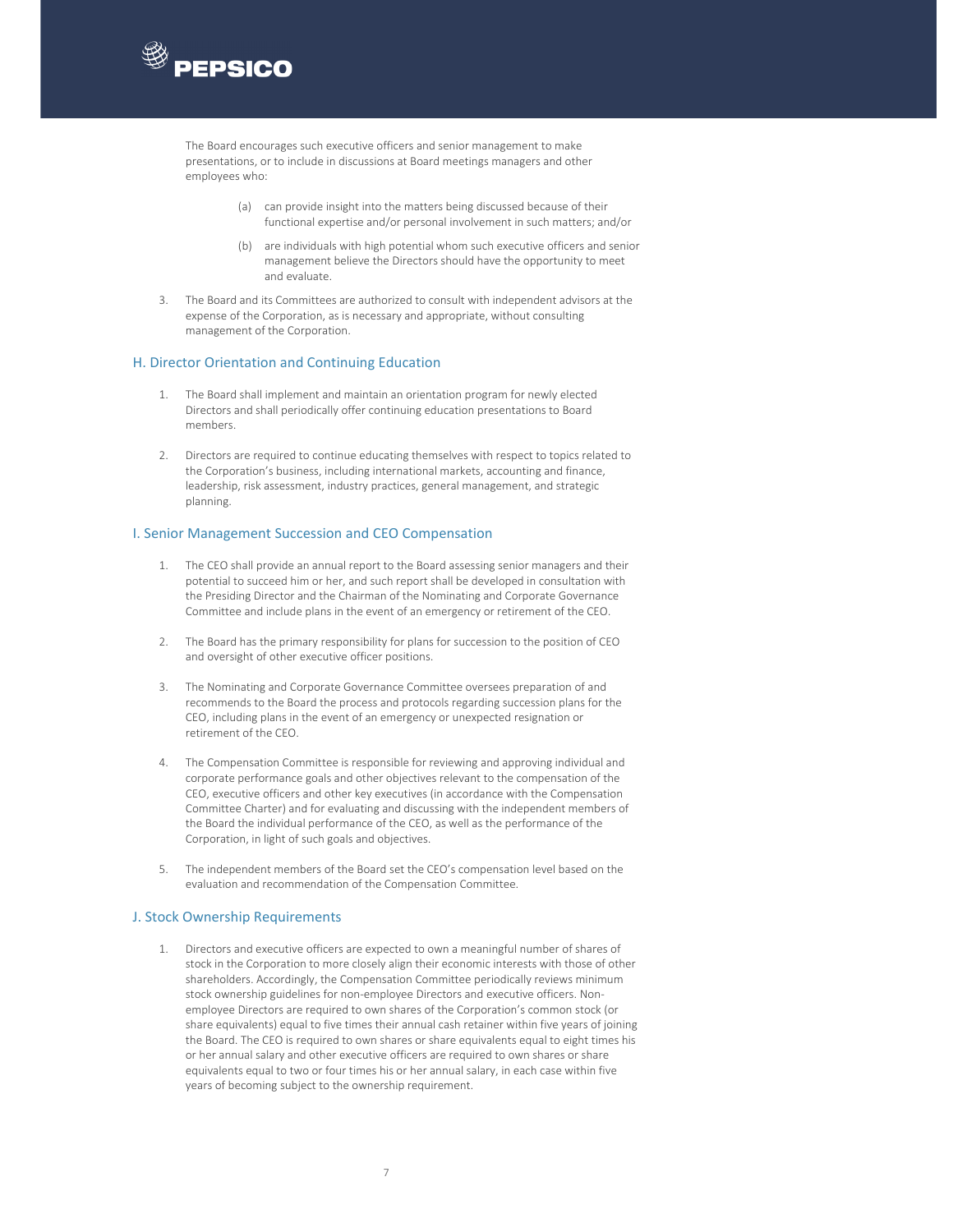

The Board encourages such executive officers and senior management to make presentations, or to include in discussions at Board meetings managers and other employees who:

- (a) can provide insight into the matters being discussed because of their functional expertise and/or personal involvement in such matters; and/or
- (b) are individuals with high potential whom such executive officers and senior management believe the Directors should have the opportunity to meet and evaluate.
- 3. The Board and its Committees are authorized to consult with independent advisors at the expense of the Corporation, as is necessary and appropriate, without consulting management of the Corporation.

### H. Director Orientation and Continuing Education

- 1. The Board shall implement and maintain an orientation program for newly elected Directors and shall periodically offer continuing education presentations to Board members.
- 2. Directors are required to continue educating themselves with respect to topics related to the Corporation's business, including international markets, accounting and finance, leadership, risk assessment, industry practices, general management, and strategic planning.

### I. Senior Management Succession and CEO Compensation

- 1. The CEO shall provide an annual report to the Board assessing senior managers and their potential to succeed him or her, and such report shall be developed in consultation with the Presiding Director and the Chairman of the Nominating and Corporate Governance Committee and include plans in the event of an emergency or retirement of the CEO.
- 2. The Board has the primary responsibility for plans for succession to the position of CEO and oversight of other executive officer positions.
- 3. The Nominating and Corporate Governance Committee oversees preparation of and recommends to the Board the process and protocols regarding succession plans for the CEO, including plans in the event of an emergency or unexpected resignation or retirement of the CEO.
- 4. The Compensation Committee is responsible for reviewing and approving individual and corporate performance goals and other objectives relevant to the compensation of the CEO, executive officers and other key executives (in accordance with the Compensation Committee Charter) and for evaluating and discussing with the independent members of the Board the individual performance of the CEO, as well as the performance of the Corporation, in light of such goals and objectives.
- 5. The independent members of the Board set the CEO's compensation level based on the evaluation and recommendation of the Compensation Committee.

# J. Stock Ownership Requirements

1. Directors and executive officers are expected to own a meaningful number of shares of stock in the Corporation to more closely align their economic interests with those of other shareholders. Accordingly, the Compensation Committee periodically reviews minimum stock ownership guidelines for non-employee Directors and executive officers. Nonemployee Directors are required to own shares of the Corporation's common stock (or share equivalents) equal to five times their annual cash retainer within five years of joining the Board. The CEO is required to own shares or share equivalents equal to eight times his or her annual salary and other executive officers are required to own shares or share equivalents equal to two or four times his or her annual salary, in each case within five years of becoming subject to the ownership requirement.